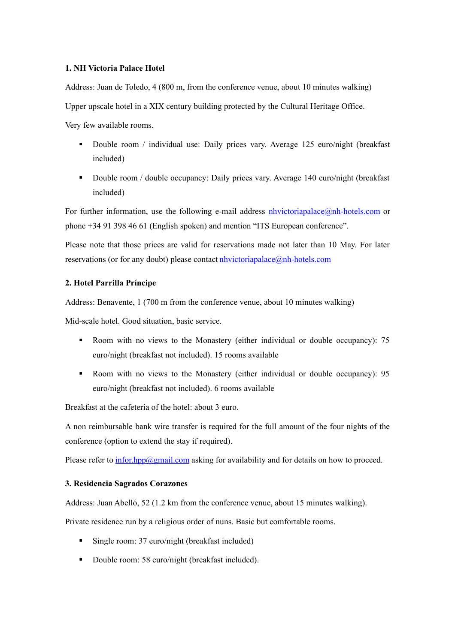## **1. NH Victoria Palace Hotel**

Address: Juan de Toledo, 4 (800 m, from the conference venue, about 10 minutes walking)

Upper upscale hotel in a XIX century building protected by the Cultural Heritage Office.

Very few available rooms.

- Double room / individual use: Daily prices vary. Average 125 euro/night (breakfast included)
- Double room / double occupancy: Daily prices vary. Average 140 euro/night (breakfast included)

For further information, use the following e-mail address  $n$ hvictoriapalace $\omega$ <sub>n</sub>h-hotels.com or phone +34 91 398 46 61 (English spoken) and mention "ITS European conference".

Please note that those prices are valid for reservations made not later than 10 May. For later reservations (or for any doubt) please contact **nhvictoriapalace**@nh-hotels.com

## **2. Hotel Parrilla Príncipe**

Address: Benavente, 1 (700 m from the conference venue, about 10 minutes walking)

Mid-scale hotel. Good situation, basic service.

- Room with no views to the Monastery (either individual or double occupancy): 75 euro/night (breakfast not included). 15 rooms available
- Room with no views to the Monastery (either individual or double occupancy): 95 euro/night (breakfast not included). 6 rooms available

Breakfast at the cafeteria of the hotel: about 3 euro.

A non reimbursable bank wire transfer is required for the full amount of the four nights of the conference (option to extend the stay if required).

Please refer to  $\frac{informational.com}{m}$  asking for availability and for details on how to proceed.

## **3. Residencia Sagrados Corazones**

Address: Juan Abelló, 52 (1.2 km from the conference venue, about 15 minutes walking).

Private residence run by a religious order of nuns. Basic but comfortable rooms.

- Single room: 37 euro/night (breakfast included)
- Double room: 58 euro/night (breakfast included).